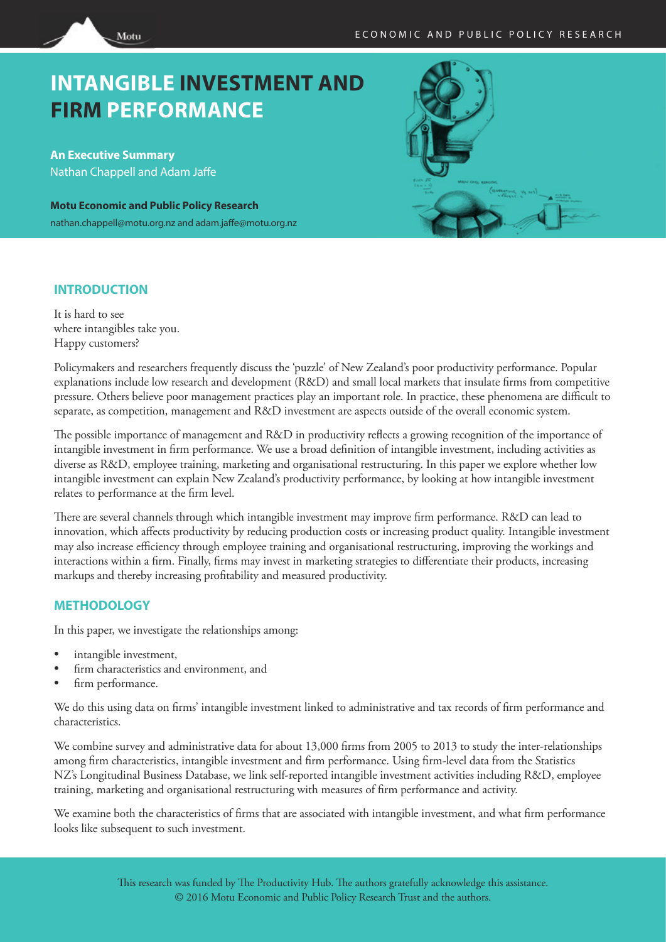# **INTANGIBLE INVESTMENT AND FIRM PERFORMANCE**

**An Executive Summary** Nathan Chappell and Adam Jaffe

Motu

**Motu Economic and Public Policy Research** nathan.chappell@motu.org.nz and adam.jaffe@motu.org.nz



## **INTRODUCTION**

It is hard to see where intangibles take you. Happy customers?

Policymakers and researchers frequently discuss the 'puzzle' of New Zealand's poor productivity performance. Popular explanations include low research and development (R&D) and small local markets that insulate firms from competitive pressure. Others believe poor management practices play an important role. In practice, these phenomena are difficult to separate, as competition, management and R&D investment are aspects outside of the overall economic system.

The possible importance of management and R&D in productivity reflects a growing recognition of the importance of intangible investment in firm performance. We use a broad definition of intangible investment, including activities as diverse as R&D, employee training, marketing and organisational restructuring. In this paper we explore whether low intangible investment can explain New Zealand's productivity performance, by looking at how intangible investment relates to performance at the firm level.

There are several channels through which intangible investment may improve firm performance. R&D can lead to innovation, which affects productivity by reducing production costs or increasing product quality. Intangible investment may also increase efficiency through employee training and organisational restructuring, improving the workings and interactions within a firm. Finally, firms may invest in marketing strategies to differentiate their products, increasing markups and thereby increasing profitability and measured productivity.

## **METHODOLOGY**

In this paper, we investigate the relationships among:

- intangible investment,
- firm characteristics and environment, and
- firm performance.

We do this using data on firms' intangible investment linked to administrative and tax records of firm performance and characteristics.

We combine survey and administrative data for about 13,000 firms from 2005 to 2013 to study the inter-relationships among firm characteristics, intangible investment and firm performance. Using firm-level data from the Statistics NZ's Longitudinal Business Database, we link self-reported intangible investment activities including R&D, employee training, marketing and organisational restructuring with measures of firm performance and activity.

We examine both the characteristics of firms that are associated with intangible investment, and what firm performance looks like subsequent to such investment.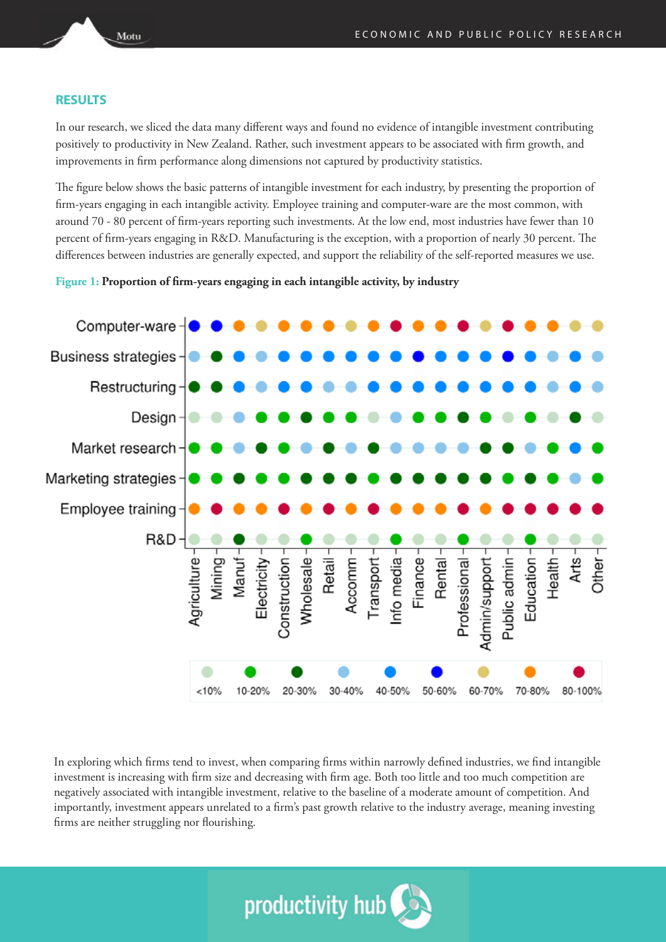#### **RESULTS**

In our research, we sliced the data many different ways and found no evidence of intangible investment contributing positively to productivity in New Zealand. Rather, such investment appears to be associated with firm growth, and improvements in firm performance along dimensions not captured by productivity statistics.

The figure below shows the basic patterns of intangible investment for each industry, by presenting the proportion of firm-years engaging in each intangible activity. Employee training and computer-ware are the most common, with around 70 - 80 percent of firm-years reporting such investments. At the low end, most industries have fewer than 10 percent of firm-years engaging in R&D. Manufacturing is the exception, with a proportion of nearly 30 percent. The differences between industries are generally expected, and support the reliability of the self-reported measures we use.

#### **Figure 1: Proportion of firm-years engaging in each intangible activity, by industry**



In exploring which firms tend to invest, when comparing firms within narrowly defined industries, we find intangible investment is increasing with firm size and decreasing with firm age. Both too little and too much competition are negatively associated with intangible investment, relative to the baseline of a moderate amount of competition. And importantly, investment appears unrelated to a firm's past growth relative to the industry average, meaning investing firms are neither struggling nor flourishing.



Motu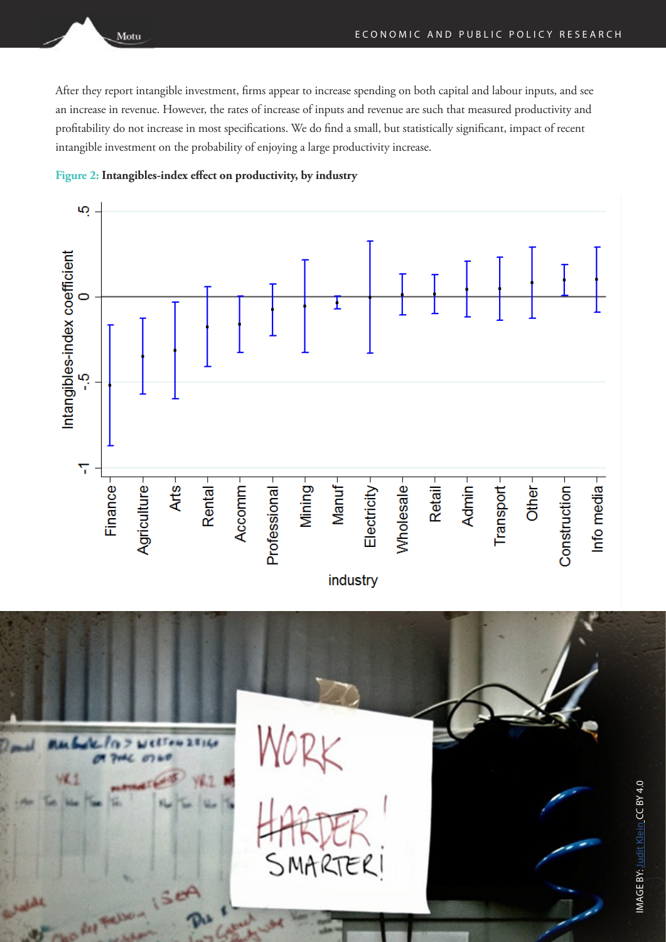After they report intangible investment, firms appear to increase spending on both capital and labour inputs, and see an increase in revenue. However, the rates of increase of inputs and revenue are such that measured productivity and profitability do not increase in most specifications. We do find a small, but statistically significant, impact of recent intangible investment on the probability of enjoying a large productivity increase.



Motu



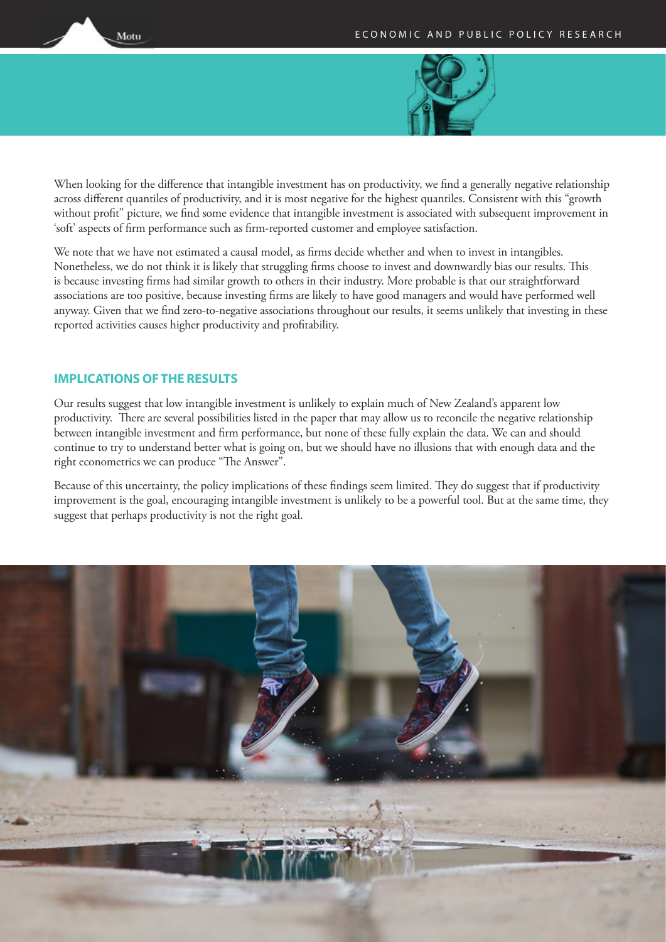

When looking for the difference that intangible investment has on productivity, we find a generally negative relationship across different quantiles of productivity, and it is most negative for the highest quantiles. Consistent with this "growth without profit" picture, we find some evidence that intangible investment is associated with subsequent improvement in 'soft' aspects of firm performance such as firm-reported customer and employee satisfaction.

We note that we have not estimated a causal model, as firms decide whether and when to invest in intangibles. Nonetheless, we do not think it is likely that struggling firms choose to invest and downwardly bias our results. This is because investing firms had similar growth to others in their industry. More probable is that our straightforward associations are too positive, because investing firms are likely to have good managers and would have performed well anyway. Given that we find zero-to-negative associations throughout our results, it seems unlikely that investing in these reported activities causes higher productivity and profitability.

## **IMPLICATIONS OF THE RESULTS**

Motu

Our results suggest that low intangible investment is unlikely to explain much of New Zealand's apparent low productivity. There are several possibilities listed in the paper that may allow us to reconcile the negative relationship between intangible investment and firm performance, but none of these fully explain the data. We can and should continue to try to understand better what is going on, but we should have no illusions that with enough data and the right econometrics we can produce "The Answer".

Because of this uncertainty, the policy implications of these findings seem limited. They do suggest that if productivity improvement is the goal, encouraging intangible investment is unlikely to be a powerful tool. But at the same time, they suggest that perhaps productivity is not the right goal.